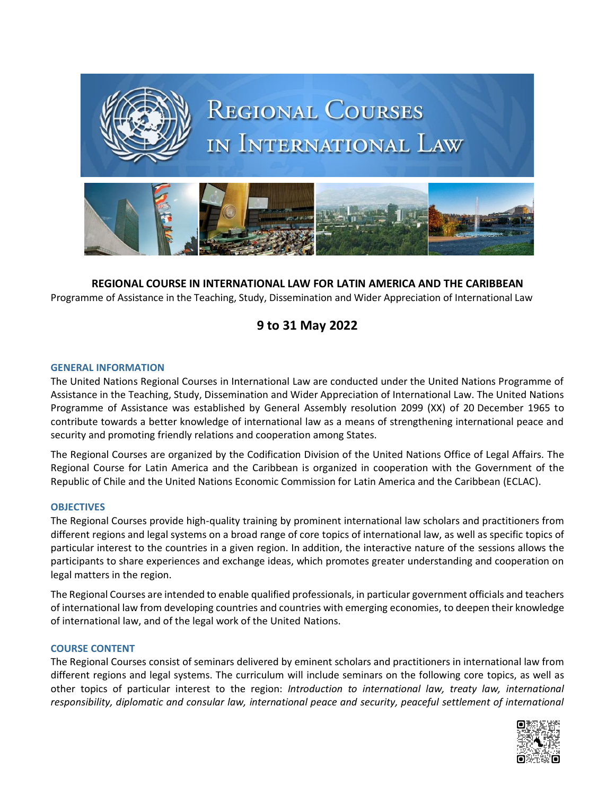

**REGIONAL COURSE IN INTERNATIONAL LAW FOR LATIN AMERICA AND THE CARIBBEAN** Programme of Assistance in the Teaching, Study, Dissemination and Wider Appreciation of International Law

# **9 to 31 May 2022**

## **GENERAL INFORMATION**

The United Nations Regional Courses in International Law are conducted under the United Nations Programme of Assistance in the Teaching, Study, Dissemination and Wider Appreciation of International Law. The United Nations Programme of Assistance was established by General Assembly resolution 2099 (XX) of 20 December 1965 to contribute towards a better knowledge of international law as a means of strengthening international peace and security and promoting friendly relations and cooperation among States.

The Regional Courses are organized by the Codification Division of the United Nations Office of Legal Affairs. The Regional Course for Latin America and the Caribbean is organized in cooperation with the Government of the Republic of Chile and the United Nations Economic Commission for Latin America and the Caribbean (ECLAC).

#### **OBJECTIVES**

The Regional Courses provide high-quality training by prominent international law scholars and practitioners from different regions and legal systems on a broad range of core topics of international law, as well as specific topics of particular interest to the countries in a given region. In addition, the interactive nature of the sessions allows the participants to share experiences and exchange ideas, which promotes greater understanding and cooperation on legal matters in the region.

The Regional Courses are intended to enable qualified professionals, in particular government officials and teachers of international law from developing countries and countries with emerging economies, to deepen their knowledge of international law, and of the legal work of the United Nations.

#### **COURSE CONTENT**

The Regional Courses consist of seminars delivered by eminent scholars and practitioners in international law from different regions and legal systems. The curriculum will include seminars on the following core topics, as well as other topics of particular interest to the region: *Introduction to international law, treaty law, international responsibility, diplomatic and consular law, international peace and security, peaceful settlement of international*